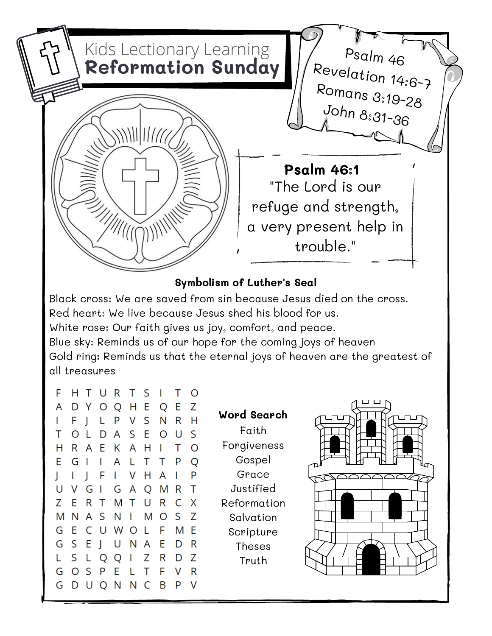

Black cross: We are saved from sin because Jesus died on the cross.

Red heart: We live because Jesus shed his blood for us.

White rose: Our faith gives us joy, comfort, and peace.

Blue sky: Reminds us of our hope for the coming joys of heaven Gold ring: Reminds us that the eternal joys of heaven are the greatest of all treasures

| F  | H.  | Т                        |              | URTS                    |        |              | Г       | Τ                        | O |
|----|-----|--------------------------|--------------|-------------------------|--------|--------------|---------|--------------------------|---|
| A  | D   | - Y                      |              | O Q                     | H E    |              | Q       | E                        | Z |
| I  | F   | $\overline{\phantom{a}}$ | L            | P                       | V S    |              | Ν       | R                        | Η |
| Τ  | O   | L                        | D            | $\overline{\mathsf{A}}$ | S      | E.           | $\circ$ | U                        | S |
| Н  | R A |                          | E.           |                         | K A H  |              | I       | Τ                        | O |
| E. |     | GI.                      | L            | A                       | L.     | T.           | Τ       | P                        | Q |
| J  | I.  | $\mathsf{l}$             |              | FI.                     | V.     | H            | A       | $\overline{\phantom{a}}$ | P |
| U  | ۷   | G                        | L            |                         | G A    | Q            | M       | R                        | Τ |
| Ζ  | E   | R                        | $\top$       | M                       | $\top$ | U            | R       | C                        | Χ |
| M  | N   | A                        | S.           | N                       | I.     | M            | O       | S                        | Z |
| G  | E   |                          |              | CUWOL                   |        |              | F       | M                        | Ε |
| G  | S   | E                        | $\mathbf{L}$ | U                       | N      | $\mathsf{A}$ | E       | D                        | R |
| L  | S   | L                        | Q            | Q                       | I      | Ζ            | R       | D                        | Z |
| G  | O   | -S                       | P            | E.                      | L      | Τ            | F       | V                        | R |
| G  | D   | U                        | Q N          |                         | N C    |              | B       | P                        | ٧ |

Faith Forgiveness Gospel Grace Justified Reformation Salvation Scripture Theses Truth **Word Search**